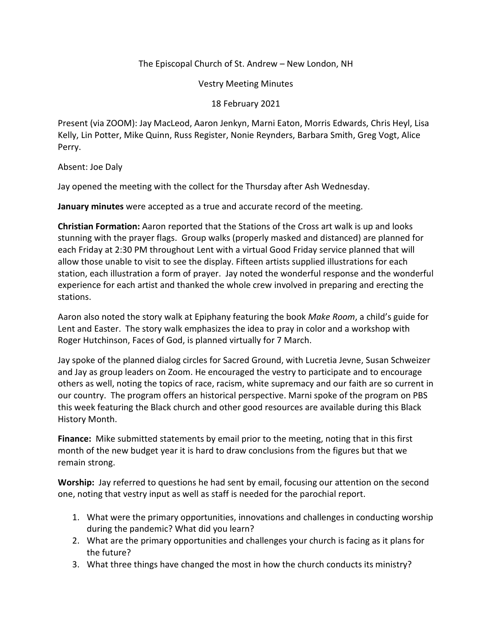## The Episcopal Church of St. Andrew – New London, NH

Vestry Meeting Minutes

## 18 February 2021

Present (via ZOOM): Jay MacLeod, Aaron Jenkyn, Marni Eaton, Morris Edwards, Chris Heyl, Lisa Kelly, Lin Potter, Mike Quinn, Russ Register, Nonie Reynders, Barbara Smith, Greg Vogt, Alice Perry.

Absent: Joe Daly

Jay opened the meeting with the collect for the Thursday after Ash Wednesday.

**January minutes** were accepted as a true and accurate record of the meeting.

**Christian Formation:** Aaron reported that the Stations of the Cross art walk is up and looks stunning with the prayer flags. Group walks (properly masked and distanced) are planned for each Friday at 2:30 PM throughout Lent with a virtual Good Friday service planned that will allow those unable to visit to see the display. Fifteen artists supplied illustrations for each station, each illustration a form of prayer. Jay noted the wonderful response and the wonderful experience for each artist and thanked the whole crew involved in preparing and erecting the stations.

Aaron also noted the story walk at Epiphany featuring the book *Make Room*, a child's guide for Lent and Easter. The story walk emphasizes the idea to pray in color and a workshop with Roger Hutchinson, Faces of God, is planned virtually for 7 March.

Jay spoke of the planned dialog circles for Sacred Ground, with Lucretia Jevne, Susan Schweizer and Jay as group leaders on Zoom. He encouraged the vestry to participate and to encourage others as well, noting the topics of race, racism, white supremacy and our faith are so current in our country. The program offers an historical perspective. Marni spoke of the program on PBS this week featuring the Black church and other good resources are available during this Black History Month.

**Finance:** Mike submitted statements by email prior to the meeting, noting that in this first month of the new budget year it is hard to draw conclusions from the figures but that we remain strong.

**Worship:** Jay referred to questions he had sent by email, focusing our attention on the second one, noting that vestry input as well as staff is needed for the parochial report.

- 1. What were the primary opportunities, innovations and challenges in conducting worship during the pandemic? What did you learn?
- 2. What are the primary opportunities and challenges your church is facing as it plans for the future?
- 3. What three things have changed the most in how the church conducts its ministry?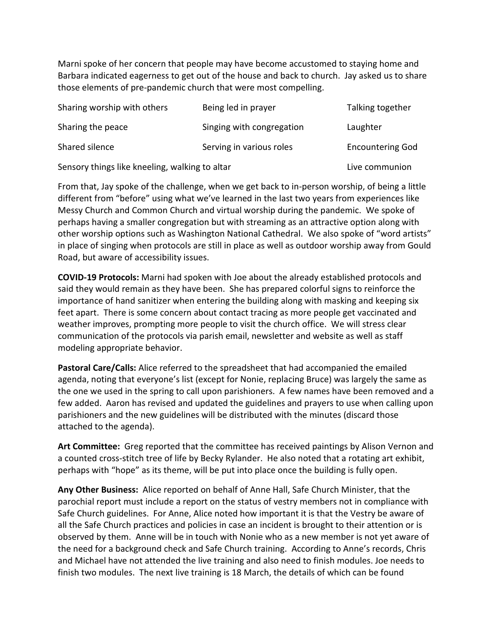Marni spoke of her concern that people may have become accustomed to staying home and Barbara indicated eagerness to get out of the house and back to church. Jay asked us to share those elements of pre-pandemic church that were most compelling.

| Sharing worship with others                    | Being led in prayer       | Talking together        |
|------------------------------------------------|---------------------------|-------------------------|
| Sharing the peace                              | Singing with congregation | Laughter                |
| Shared silence                                 | Serving in various roles  | <b>Encountering God</b> |
| Sensory things like kneeling, walking to altar |                           | Live communion          |

From that, Jay spoke of the challenge, when we get back to in-person worship, of being a little different from "before" using what we've learned in the last two years from experiences like Messy Church and Common Church and virtual worship during the pandemic. We spoke of perhaps having a smaller congregation but with streaming as an attractive option along with other worship options such as Washington National Cathedral. We also spoke of "word artists" in place of singing when protocols are still in place as well as outdoor worship away from Gould Road, but aware of accessibility issues.

**COVID-19 Protocols:** Marni had spoken with Joe about the already established protocols and said they would remain as they have been. She has prepared colorful signs to reinforce the importance of hand sanitizer when entering the building along with masking and keeping six feet apart. There is some concern about contact tracing as more people get vaccinated and weather improves, prompting more people to visit the church office. We will stress clear communication of the protocols via parish email, newsletter and website as well as staff modeling appropriate behavior.

**Pastoral Care/Calls:** Alice referred to the spreadsheet that had accompanied the emailed agenda, noting that everyone's list (except for Nonie, replacing Bruce) was largely the same as the one we used in the spring to call upon parishioners. A few names have been removed and a few added. Aaron has revised and updated the guidelines and prayers to use when calling upon parishioners and the new guidelines will be distributed with the minutes (discard those attached to the agenda).

**Art Committee:** Greg reported that the committee has received paintings by Alison Vernon and a counted cross-stitch tree of life by Becky Rylander. He also noted that a rotating art exhibit, perhaps with "hope" as its theme, will be put into place once the building is fully open.

**Any Other Business:** Alice reported on behalf of Anne Hall, Safe Church Minister, that the parochial report must include a report on the status of vestry members not in compliance with Safe Church guidelines. For Anne, Alice noted how important it is that the Vestry be aware of all the Safe Church practices and policies in case an incident is brought to their attention or is observed by them.Anne will be in touch with Nonie who as a new member is not yet aware of the need for a background check and Safe Church training. According to Anne's records, Chris and Michael have not attended the live training and also need to finish modules. Joe needs to finish two modules.The next live training is 18 March, the details of which can be found